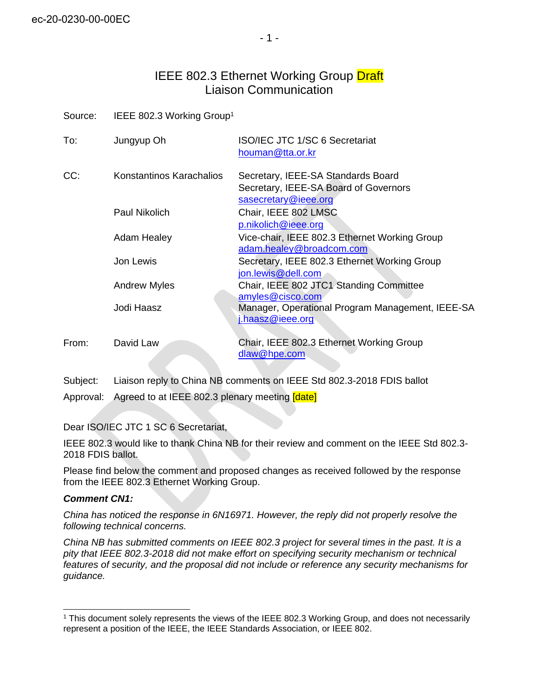# IEEE 802.3 Ethernet Working Group Draft Liaison Communication

Source: IEEE 802.3 Working Group<sup>1</sup>

| To:   | Jungyup Oh               | <b>ISO/IEC JTC 1/SC 6 Secretariat</b><br>houman@tta.or.kr                                           |
|-------|--------------------------|-----------------------------------------------------------------------------------------------------|
| CC:   | Konstantinos Karachalios | Secretary, IEEE-SA Standards Board<br>Secretary, IEEE-SA Board of Governors<br>sasecretary@ieee.org |
|       | Paul Nikolich            | Chair, IEEE 802 LMSC<br>p.nikolich@ieee.org                                                         |
|       | <b>Adam Healey</b>       | Vice-chair, IEEE 802.3 Ethernet Working Group<br>adam.healey@broadcom.com                           |
|       | Jon Lewis                | Secretary, IEEE 802.3 Ethernet Working Group<br>jon.lewis@dell.com                                  |
|       | <b>Andrew Myles</b>      | Chair, IEEE 802 JTC1 Standing Committee<br>amyles@cisco.com                                         |
|       | Jodi Haasz               | Manager, Operational Program Management, IEEE-SA<br>i.haasz@ieee.org                                |
| From: | David Law                | Chair, IEEE 802.3 Ethernet Working Group<br>dlaw@hpe.com                                            |

Subject: Liaison reply to China NB comments on IEEE Std 802.3-2018 FDIS ballot Approval: Agreed to at IEEE 802.3 plenary meeting [date]

Dear ISO/IEC JTC 1 SC 6 Secretariat,

IEEE 802.3 would like to thank China NB for their review and comment on the IEEE Std 802.3- 2018 FDIS ballot.

Please find below the comment and proposed changes as received followed by the response from the IEEE 802.3 Ethernet Working Group.

# *Comment CN1:*

*China has noticed the response in 6N16971. However, the reply did not properly resolve the following technical concerns.*

*China NB has submitted comments on IEEE 802.3 project for several times in the past. It is a pity that IEEE 802.3-2018 did not make effort on specifying security mechanism or technical features of security, and the proposal did not include or reference any security mechanisms for guidance.* 

<sup>&</sup>lt;sup>1</sup> This document solely represents the views of the IEEE 802.3 Working Group, and does not necessarily represent a position of the IEEE, the IEEE Standards Association, or IEEE 802.